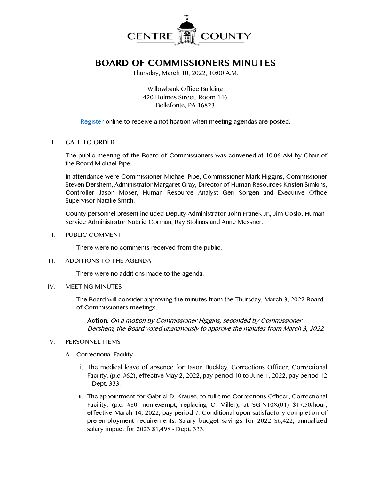

# **BOARD OF COMMISSIONERS MINUTES**

Thursday, March 10, 2022, 10:00 A.M.

Willowbank Office Building 420 Holmes Street, Room 146 Bellefonte, PA 16823

[Register](http://www.centrecountypa.gov/AgendaCenter) online to receive a notification when meeting agendas are posted.  $\mathcal{L} = \{ \mathcal{L} = \{ \mathcal{L} \mid \mathcal{L} = \{ \mathcal{L} \mid \mathcal{L} = \{ \mathcal{L} \mid \mathcal{L} = \{ \mathcal{L} \mid \mathcal{L} = \{ \mathcal{L} \mid \mathcal{L} = \{ \mathcal{L} \mid \mathcal{L} = \{ \mathcal{L} \mid \mathcal{L} = \{ \mathcal{L} \mid \mathcal{L} = \{ \mathcal{L} \mid \mathcal{L} = \{ \mathcal{L} \mid \mathcal{L} = \{ \mathcal{L} \mid \mathcal{L} = \{ \mathcal{L} \mid \mathcal{L} =$ 

### I. CALL TO ORDER

The public meeting of the Board of Commissioners was convened at 10:06 AM by Chair of the Board Michael Pipe.

In attendance were Commissioner Michael Pipe, Commissioner Mark Higgins, Commissioner Steven Dershem, Administrator Margaret Gray, Director of Human Resources Kristen Simkins, Controller Jason Moser, Human Resource Analyst Geri Sorgen and Executive Office Supervisor Natalie Smith.

County personnel present included Deputy Administrator John Franek Jr., Jim Coslo, Human Service Administrator Natalie Corman, Ray Stolinas and Anne Messner.

II. PUBLIC COMMENT

There were no comments received from the public.

III. ADDITIONS TO THE AGENDA

There were no additions made to the agenda.

### IV. MEETING MINUTES

The Board will consider approving the minutes from the Thursday, March 3, 2022 Board of Commissioners meetings.

**Action**: On a motion by Commissioner Higgins, seconded by Commissioner Dershem, the Board voted unanimously to approve the minutes from March 3, 2022.

### V. PERSONNEL ITEMS

- A. Correctional Facility
	- i. The medical leave of absence for Jason Buckley, Corrections Officer, Correctional Facility, (p.c. #62), effective May 2, 2022, pay period 10 to June 1, 2022, pay period 12 – Dept. 333.
	- ii. The appointment for Gabriel D. Krause, to full-time Corrections Officer, Correctional Facility, (p.c.  $#80$ , non-exempt, replacing C. Miller), at SG-N10X(01)--\$17.50/hour, effective March 14, 2022, pay period 7. Conditional upon satisfactory completion of pre-employment requirements. Salary budget savings for 2022 \$6,422, annualized salary impact for 2023 \$1,498 - Dept. 333.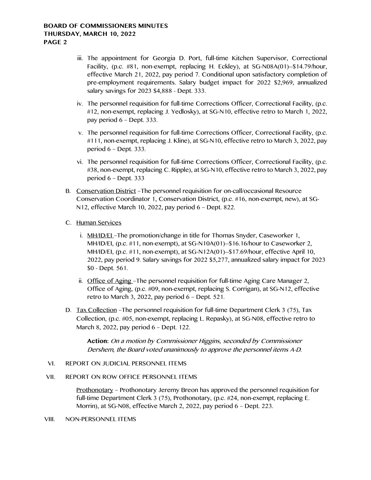- iii. The appointment for Georgia D. Port, full-time Kitchen Supervisor, Correctional Facility, (p.c. #81, non-exempt, replacing H. Eckley), at SG-N08A(01)--\$14.79/hour, effective March 21, 2022, pay period 7. Conditional upon satisfactory completion of pre-employment requirements. Salary budget impact for 2022 \$2,969, annualized salary savings for 2023 \$4,888 - Dept. 333.
- iv. The personnel requisition for full-time Corrections Officer, Correctional Facility, (p.c. #12, non-exempt, replacing J. Yedlosky), at SG-N10, effective retro to March 1, 2022, pay period 6 – Dept. 333.
- v. The personnel requisition for full-time Corrections Officer, Correctional Facility, (p.c. #111, non-exempt, replacing J. Kline), at SG-N10, effective retro to March 3, 2022, pay period 6 – Dept. 333.
- vi. The personnel requisition for full-time Corrections Officer, Correctional Facility, (p.c. #38, non-exempt, replacing C. Ripple), at SG-N10, effective retro to March 3, 2022, pay period 6 – Dept. 333
- B. Conservation District –The personnel requisition for on-call/occasional Resource Conservation Coordinator 1, Conservation District, (p.c. #16, non-exempt, new), at SG-N12, effective March 10, 2022, pay period 6 – Dept. 822.
- C. Human Services
	- i. MH/ID/EL-The promotion/change in title for Thomas Snyder, Caseworker 1, MH/ID/EI, (p.c. #11, non-exempt), at SG-N10A(01)--\$16.16/hour to Caseworker 2, MH/ID/EI, (p.c. #11, non-exempt), at SG-N12A(01)--\$17.69/hour, effective April 10, 2022, pay period 9. Salary savings for 2022 \$5,277, annualized salary impact for 2023 \$0 - Dept. 561.
	- ii. Office of Aging –The personnel requisition for full-time Aging Care Manager 2, Office of Aging, (p.c. #09, non-exempt, replacing S. Corrigan), at SG-N12, effective retro to March 3, 2022, pay period  $6$  – Dept. 521.
- D. Tax Collection –The personnel requisition for full-time Department Clerk 3 (75), Tax Collection, (p.c. #05, non-exempt, replacing L. Repasky), at SG-N08, effective retro to March 8, 2022, pay period 6 – Dept. 122.

**Action:** On a motion by Commissioner Higgins, seconded by Commissioner Dershem, the Board voted unanimously to approve the personnel items A-D.

### VI. REPORT ON JUDICIAL PERSONNEL ITEMS

## VII. REPORT ON ROW OFFICE PERSONNEL ITEMS

Prothonotary – Prothonotary Jeremy Breon has approved the personnel requisition for full-time Department Clerk 3 (75), Prothonotary, (p.c. #24, non-exempt, replacing E. Morrin), at SG-N08, effective March 2, 2022, pay period 6 – Dept. 223.

#### VIII. NON-PERSONNEL ITEMS